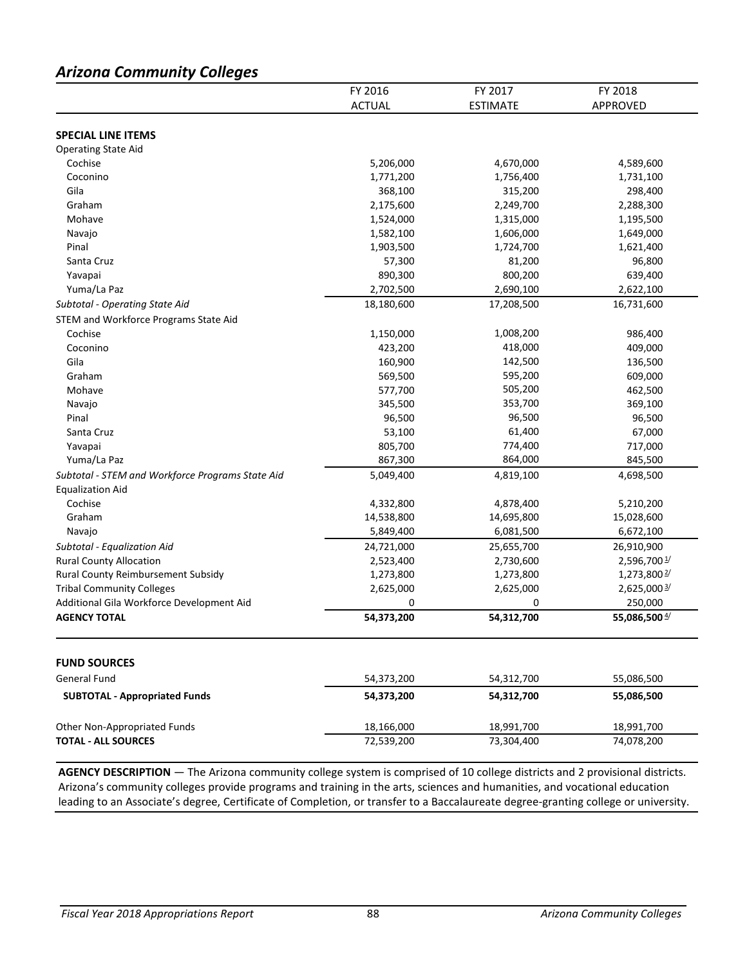# *Arizona Community Colleges*

|                                                  | FY 2016       | FY 2017         | FY 2018         |
|--------------------------------------------------|---------------|-----------------|-----------------|
|                                                  | <b>ACTUAL</b> | <b>ESTIMATE</b> | APPROVED        |
|                                                  |               |                 |                 |
| <b>SPECIAL LINE ITEMS</b>                        |               |                 |                 |
| <b>Operating State Aid</b>                       |               |                 |                 |
| Cochise                                          | 5,206,000     | 4,670,000       | 4,589,600       |
| Coconino                                         | 1,771,200     | 1,756,400       | 1,731,100       |
| Gila                                             | 368,100       | 315,200         | 298,400         |
| Graham                                           | 2,175,600     | 2,249,700       | 2,288,300       |
| Mohave                                           | 1,524,000     | 1,315,000       | 1,195,500       |
| Navajo                                           | 1,582,100     | 1,606,000       | 1,649,000       |
| Pinal                                            | 1,903,500     | 1,724,700       | 1,621,400       |
| Santa Cruz                                       | 57,300        | 81,200          | 96,800          |
| Yavapai                                          | 890,300       | 800,200         | 639,400         |
| Yuma/La Paz                                      | 2,702,500     | 2,690,100       | 2,622,100       |
| Subtotal - Operating State Aid                   | 18,180,600    | 17,208,500      | 16,731,600      |
| STEM and Workforce Programs State Aid            |               |                 |                 |
| Cochise                                          | 1,150,000     | 1,008,200       | 986,400         |
| Coconino                                         | 423,200       | 418,000         | 409,000         |
| Gila                                             | 160,900       | 142,500         | 136,500         |
| Graham                                           | 569,500       | 595,200         | 609,000         |
| Mohave                                           | 577,700       | 505,200         | 462,500         |
| Navajo                                           | 345,500       | 353,700         | 369,100         |
| Pinal                                            | 96,500        | 96,500          | 96,500          |
| Santa Cruz                                       | 53,100        | 61,400          | 67,000          |
| Yavapai                                          | 805,700       | 774,400         | 717,000         |
| Yuma/La Paz                                      | 867,300       | 864,000         | 845,500         |
| Subtotal - STEM and Workforce Programs State Aid | 5,049,400     | 4,819,100       | 4,698,500       |
| <b>Equalization Aid</b>                          |               |                 |                 |
| Cochise                                          | 4,332,800     | 4,878,400       | 5,210,200       |
| Graham                                           | 14,538,800    | 14,695,800      | 15,028,600      |
| Navajo                                           | 5,849,400     | 6,081,500       | 6,672,100       |
| Subtotal - Equalization Aid                      | 24,721,000    | 25,655,700      | 26,910,900      |
| <b>Rural County Allocation</b>                   | 2,523,400     | 2,730,600       | 2,596,7001/     |
| Rural County Reimbursement Subsidy               | 1,273,800     | 1,273,800       | 1,273,800 $2/$  |
| <b>Tribal Community Colleges</b>                 | 2,625,000     | 2,625,000       | 2,625,000 3/    |
| Additional Gila Workforce Development Aid        | 0             | 0               | 250,000         |
| <b>AGENCY TOTAL</b>                              | 54,373,200    | 54,312,700      | 55,086,500 $4/$ |
|                                                  |               |                 |                 |
| <b>FUND SOURCES</b>                              |               |                 |                 |
| General Fund                                     | 54,373,200    | 54,312,700      | 55,086,500      |
| <b>SUBTOTAL - Appropriated Funds</b>             | 54,373,200    | 54,312,700      | 55,086,500      |
| Other Non-Appropriated Funds                     | 18,166,000    | 18,991,700      | 18,991,700      |
| <b>TOTAL - ALL SOURCES</b>                       | 72,539,200    | 73,304,400      | 74,078,200      |

**AGENCY DESCRIPTION** — The Arizona community college system is comprised of 10 college districts and 2 provisional districts. Arizona's community colleges provide programs and training in the arts, sciences and humanities, and vocational education leading to an Associate's degree, Certificate of Completion, or transfer to a Baccalaureate degree-granting college or university.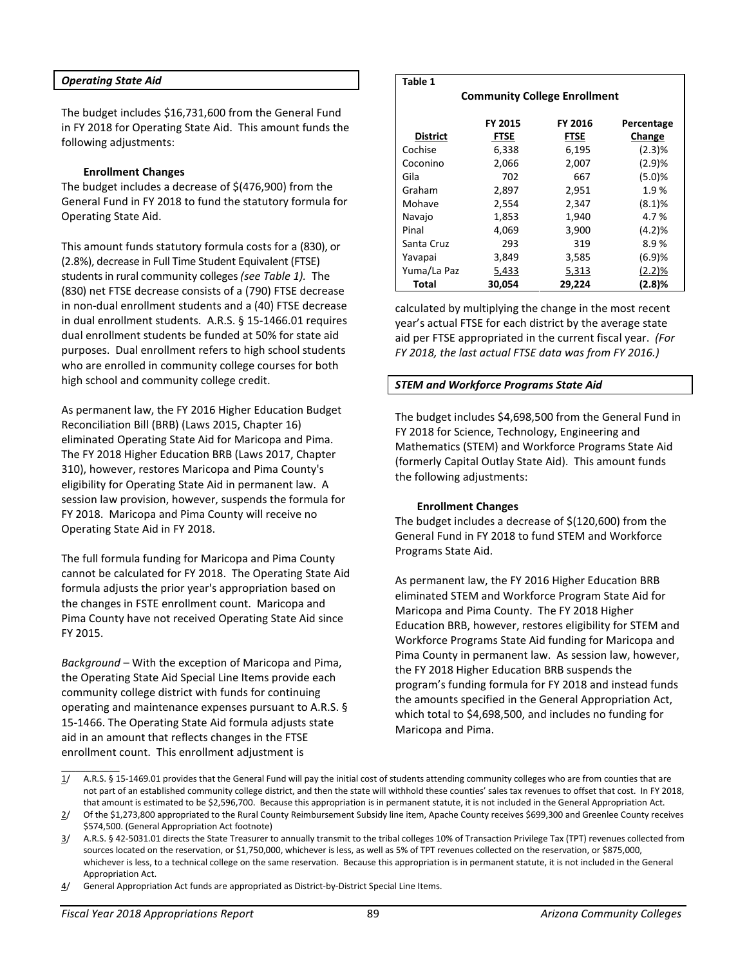#### *Operating State Aid*

The budget includes \$16,731,600 from the General Fund in FY 2018 for Operating State Aid. This amount funds the following adjustments:

#### **Enrollment Changes**

The budget includes a decrease of \$(476,900) from the General Fund in FY 2018 to fund the statutory formula for Operating State Aid.

This amount funds statutory formula costs for a (830), or (2.8%), decrease in Full Time Student Equivalent (FTSE) students in rural community colleges *(see Table 1).* The (830) net FTSE decrease consists of a (790) FTSE decrease in non-dual enrollment students and a (40) FTSE decrease in dual enrollment students. A.R.S. § 15-1466.01 requires dual enrollment students be funded at 50% for state aid purposes. Dual enrollment refers to high school students who are enrolled in community college courses for both high school and community college credit.

As permanent law, the FY 2016 Higher Education Budget Reconciliation Bill (BRB) (Laws 2015, Chapter 16) eliminated Operating State Aid for Maricopa and Pima. The FY 2018 Higher Education BRB (Laws 2017, Chapter 310), however, restores Maricopa and Pima County's eligibility for Operating State Aid in permanent law. A session law provision, however, suspends the formula for FY 2018. Maricopa and Pima County will receive no Operating State Aid in FY 2018.

The full formula funding for Maricopa and Pima County cannot be calculated for FY 2018. The Operating State Aid formula adjusts the prior year's appropriation based on the changes in FSTE enrollment count. Maricopa and Pima County have not received Operating State Aid since FY 2015.

*Background* – With the exception of Maricopa and Pima, the Operating State Aid Special Line Items provide each community college district with funds for continuing operating and maintenance expenses pursuant to A.R.S. § 15-1466. The Operating State Aid formula adjusts state aid in an amount that reflects changes in the FTSE enrollment count. This enrollment adjustment is

### **Table 1**

**Community College Enrollment**

| <b>District</b> | FY 2015<br><b>FTSE</b> | <b>FY 2016</b><br><b>FTSE</b> | Percentage<br>Change |
|-----------------|------------------------|-------------------------------|----------------------|
|                 |                        |                               |                      |
| Cochise         | 6,338                  | 6,195                         | (2.3)%               |
| Coconino        | 2,066                  | 2,007                         | (2.9)%               |
| Gila            | 702                    | 667                           | (5.0)%               |
| Graham          | 2,897                  | 2,951                         | 1.9%                 |
| Mohave          | 2,554                  | 2,347                         | (8.1)%               |
| Navajo          | 1,853                  | 1,940                         | 4.7%                 |
| Pinal           | 4,069                  | 3,900                         | (4.2)%               |
| Santa Cruz      | 293                    | 319                           | 8.9%                 |
| Yavapai         | 3,849                  | 3,585                         | (6.9)%               |
| Yuma/La Paz     | 5,433                  | 5,313                         | (2.2)%               |
| Total           | 30.054                 | 29.224                        | (2.8)%               |

calculated by multiplying the change in the most recent year's actual FTSE for each district by the average state aid per FTSE appropriated in the current fiscal year. *(For FY 2018, the last actual FTSE data was from FY 2016.)*

### *STEM and Workforce Programs State Aid*

The budget includes \$4,698,500 from the General Fund in FY 2018 for Science, Technology, Engineering and Mathematics (STEM) and Workforce Programs State Aid (formerly Capital Outlay State Aid). This amount funds the following adjustments:

#### **Enrollment Changes**

The budget includes a decrease of \$(120,600) from the General Fund in FY 2018 to fund STEM and Workforce Programs State Aid.

As permanent law, the FY 2016 Higher Education BRB eliminated STEM and Workforce Program State Aid for Maricopa and Pima County. The FY 2018 Higher Education BRB, however, restores eligibility for STEM and Workforce Programs State Aid funding for Maricopa and Pima County in permanent law. As session law, however, the FY 2018 Higher Education BRB suspends the program's funding formula for FY 2018 and instead funds the amounts specified in the General Appropriation Act, which total to \$4,698,500, and includes no funding for Maricopa and Pima.

4/ General Appropriation Act funds are appropriated as District-by-District Special Line Items.

 $\mathcal{L}=\mathcal{L}$ 1/ A.R.S. § 15-1469.01 provides that the General Fund will pay the initial cost of students attending community colleges who are from counties that are not part of an established community college district, and then the state will withhold these counties' sales tax revenues to offset that cost. In FY 2018, that amount is estimated to be \$2,596,700. Because this appropriation is in permanent statute, it is not included in the General Appropriation Act.

<sup>2/</sup> Of the \$1,273,800 appropriated to the Rural County Reimbursement Subsidy line item, Apache County receives \$699,300 and Greenlee County receives \$574,500. (General Appropriation Act footnote)

<sup>3/</sup> A.R.S. § 42-5031.01 directs the State Treasurer to annually transmit to the tribal colleges 10% of Transaction Privilege Tax (TPT) revenues collected from sources located on the reservation, or \$1,750,000, whichever is less, as well as 5% of TPT revenues collected on the reservation, or \$875,000, whichever is less, to a technical college on the same reservation. Because this appropriation is in permanent statute, it is not included in the General Appropriation Act.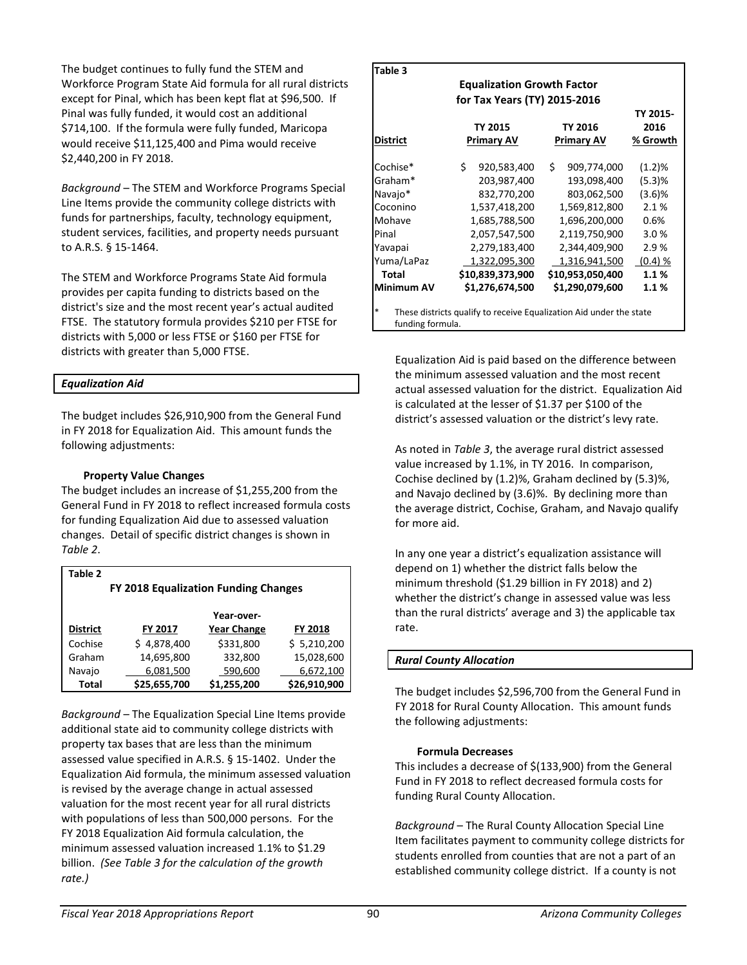The budget continues to fully fund the STEM and Workforce Program State Aid formula for all rural districts except for Pinal, which has been kept flat at \$96,500. If Pinal was fully funded, it would cost an additional \$714,100. If the formula were fully funded, Maricopa would receive \$11,125,400 and Pima would receive \$2,440,200 in FY 2018.

*Background* – The STEM and Workforce Programs Special Line Items provide the community college districts with funds for partnerships, faculty, technology equipment, student services, facilities, and property needs pursuant to A.R.S. § 15-1464.

The STEM and Workforce Programs State Aid formula provides per capita funding to districts based on the district's size and the most recent year's actual audited FTSE. The statutory formula provides \$210 per FTSE for districts with 5,000 or less FTSE or \$160 per FTSE for districts with greater than 5,000 FTSE.

### *Equalization Aid*

The budget includes \$26,910,900 from the General Fund in FY 2018 for Equalization Aid. This amount funds the following adjustments:

### **Property Value Changes**

The budget includes an increase of \$1,255,200 from the General Fund in FY 2018 to reflect increased formula costs for funding Equalization Aid due to assessed valuation changes. Detail of specific district changes is shown in *Table 2*.

| Table 2                                     |              |                    |                |  |  |  |  |
|---------------------------------------------|--------------|--------------------|----------------|--|--|--|--|
| <b>FY 2018 Equalization Funding Changes</b> |              |                    |                |  |  |  |  |
|                                             |              |                    |                |  |  |  |  |
|                                             |              | Year-over-         |                |  |  |  |  |
| <b>District</b>                             | FY 2017      | <b>Year Change</b> | <b>FY 2018</b> |  |  |  |  |
| Cochise                                     | \$4,878,400  | \$331,800          | \$5,210,200    |  |  |  |  |
| Graham                                      | 14,695,800   | 332,800            | 15,028,600     |  |  |  |  |
| Navajo                                      | 6,081,500    | 590,600            | 6,672,100      |  |  |  |  |
| Total                                       | \$25,655,700 | \$1,255,200        | \$26,910,900   |  |  |  |  |

*Background* – The Equalization Special Line Items provide additional state aid to community college districts with property tax bases that are less than the minimum assessed value specified in A.R.S. § 15-1402. Under the Equalization Aid formula, the minimum assessed valuation is revised by the average change in actual assessed valuation for the most recent year for all rural districts with populations of less than 500,000 persons. For the FY 2018 Equalization Aid formula calculation, the minimum assessed valuation increased 1.1% to \$1.29 billion. *(See Table 3 for the calculation of the growth rate.)* 

| Table 3         |    |                                   |                   |           |
|-----------------|----|-----------------------------------|-------------------|-----------|
|                 |    | <b>Equalization Growth Factor</b> |                   |           |
|                 |    | for Tax Years (TY) 2015-2016      |                   |           |
|                 |    |                                   |                   | TY 2015-  |
|                 |    | TY 2015                           | TY 2016           | 2016      |
| <b>District</b> |    | <b>Primary AV</b>                 | Primary AV        | % Growth  |
| Cochise*        | Ś. | 920,583,400                       | \$<br>909,774,000 | (1.2)%    |
| Graham*         |    | 203,987,400                       | 193,098,400       | (5.3)%    |
| Navajo*         |    | 832,770,200                       | 803,062,500       | $(3.6)$ % |
| Coconino        |    | 1,537,418,200                     | 1,569,812,800     | 2.1%      |
| Mohave          |    | 1,685,788,500                     | 1,696,200,000     | 0.6%      |
| Pinal           |    | 2,057,547,500                     | 2,119,750,900     | 3.0%      |
| Yavapai         |    | 2,279,183,400                     | 2,344,409,900     | 2.9 %     |
| Yuma/LaPaz      |    | 1,322,095,300                     | 1,316,941,500     | (0.4) %   |
| <b>Total</b>    |    | \$10,839,373,900                  | \$10,953,050,400  | 1.1%      |
| Minimum AV      |    | \$1,276,674,500                   | \$1,290,079,600   | 1.1%      |

Equalization Aid is paid based on the difference between the minimum assessed valuation and the most recent actual assessed valuation for the district. Equalization Aid is calculated at the lesser of \$1.37 per \$100 of the district's assessed valuation or the district's levy rate.

As noted in *Table 3*, the average rural district assessed value increased by 1.1%, in TY 2016. In comparison, Cochise declined by (1.2)%, Graham declined by (5.3)%, and Navajo declined by (3.6)%. By declining more than the average district, Cochise, Graham, and Navajo qualify for more aid.

In any one year a district's equalization assistance will depend on 1) whether the district falls below the minimum threshold (\$1.29 billion in FY 2018) and 2) whether the district's change in assessed value was less than the rural districts' average and 3) the applicable tax rate.

# *Rural County Allocation*

The budget includes \$2,596,700 from the General Fund in FY 2018 for Rural County Allocation. This amount funds the following adjustments:

### **Formula Decreases**

This includes a decrease of \$(133,900) from the General Fund in FY 2018 to reflect decreased formula costs for funding Rural County Allocation.

*Background* – The Rural County Allocation Special Line Item facilitates payment to community college districts for students enrolled from counties that are not a part of an established community college district. If a county is not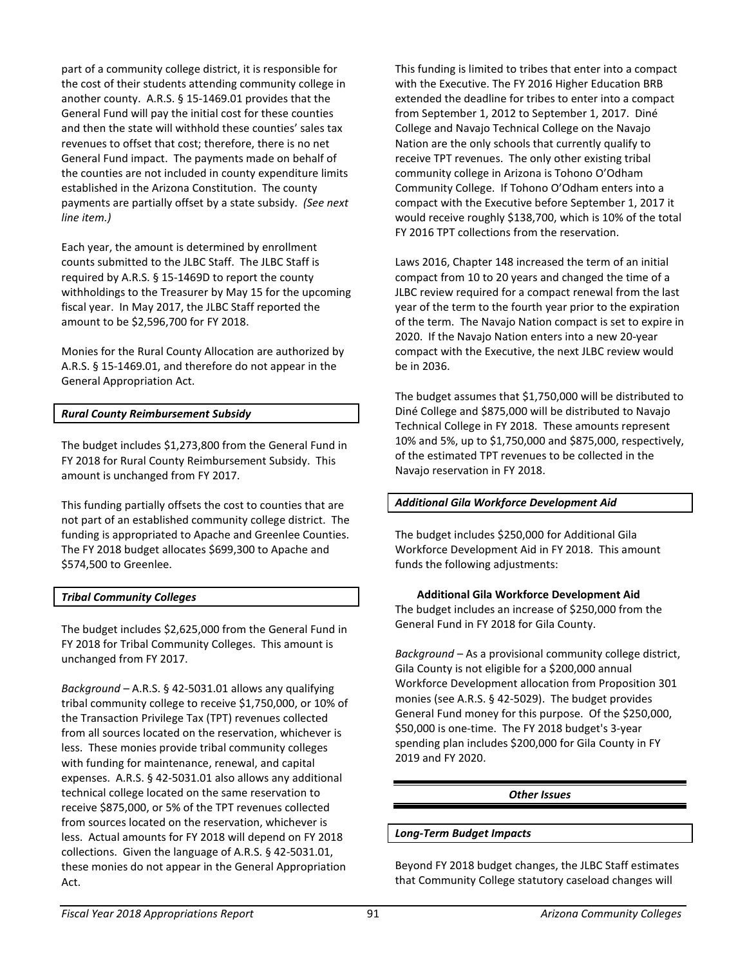part of a community college district, it is responsible for the cost of their students attending community college in another county. A.R.S. § 15-1469.01 provides that the General Fund will pay the initial cost for these counties and then the state will withhold these counties' sales tax revenues to offset that cost; therefore, there is no net General Fund impact. The payments made on behalf of the counties are not included in county expenditure limits established in the Arizona Constitution. The county payments are partially offset by a state subsidy. *(See next line item.)*

Each year, the amount is determined by enrollment counts submitted to the JLBC Staff. The JLBC Staff is required by A.R.S. § 15-1469D to report the county withholdings to the Treasurer by May 15 for the upcoming fiscal year. In May 2017, the JLBC Staff reported the amount to be \$2,596,700 for FY 2018.

Monies for the Rural County Allocation are authorized by A.R.S. § 15-1469.01, and therefore do not appear in the General Appropriation Act.

# *Rural County Reimbursement Subsidy*

The budget includes \$1,273,800 from the General Fund in FY 2018 for Rural County Reimbursement Subsidy. This amount is unchanged from FY 2017.

This funding partially offsets the cost to counties that are not part of an established community college district. The funding is appropriated to Apache and Greenlee Counties. The FY 2018 budget allocates \$699,300 to Apache and \$574,500 to Greenlee.

# *Tribal Community Colleges*

The budget includes \$2,625,000 from the General Fund in FY 2018 for Tribal Community Colleges. This amount is unchanged from FY 2017.

*Background* – A.R.S. § 42-5031.01 allows any qualifying tribal community college to receive \$1,750,000, or 10% of the Transaction Privilege Tax (TPT) revenues collected from all sources located on the reservation, whichever is less. These monies provide tribal community colleges with funding for maintenance, renewal, and capital expenses. A.R.S. § 42-5031.01 also allows any additional technical college located on the same reservation to receive \$875,000, or 5% of the TPT revenues collected from sources located on the reservation, whichever is less. Actual amounts for FY 2018 will depend on FY 2018 collections. Given the language of A.R.S. § 42-5031.01, these monies do not appear in the General Appropriation Act.

This funding is limited to tribes that enter into a compact with the Executive. The FY 2016 Higher Education BRB extended the deadline for tribes to enter into a compact from September 1, 2012 to September 1, 2017. Diné College and Navajo Technical College on the Navajo Nation are the only schools that currently qualify to receive TPT revenues. The only other existing tribal community college in Arizona is Tohono O'Odham Community College. If Tohono O'Odham enters into a compact with the Executive before September 1, 2017 it would receive roughly \$138,700, which is 10% of the total FY 2016 TPT collections from the reservation.

Laws 2016, Chapter 148 increased the term of an initial compact from 10 to 20 years and changed the time of a JLBC review required for a compact renewal from the last year of the term to the fourth year prior to the expiration of the term. The Navajo Nation compact is set to expire in 2020. If the Navajo Nation enters into a new 20-year compact with the Executive, the next JLBC review would be in 2036.

The budget assumes that \$1,750,000 will be distributed to Diné College and \$875,000 will be distributed to Navajo Technical College in FY 2018. These amounts represent 10% and 5%, up to \$1,750,000 and \$875,000, respectively, of the estimated TPT revenues to be collected in the Navajo reservation in FY 2018.

# *Additional Gila Workforce Development Aid*

The budget includes \$250,000 for Additional Gila Workforce Development Aid in FY 2018. This amount funds the following adjustments:

**Additional Gila Workforce Development Aid** The budget includes an increase of \$250,000 from the General Fund in FY 2018 for Gila County.

*Background* – As a provisional community college district, Gila County is not eligible for a \$200,000 annual Workforce Development allocation from Proposition 301 monies (see A.R.S. § 42-5029). The budget provides General Fund money for this purpose. Of the \$250,000, \$50,000 is one-time. The FY 2018 budget's 3-year spending plan includes \$200,000 for Gila County in FY 2019 and FY 2020.

# *Other Issues*

### *Long-Term Budget Impacts*

Beyond FY 2018 budget changes, the JLBC Staff estimates that Community College statutory caseload changes will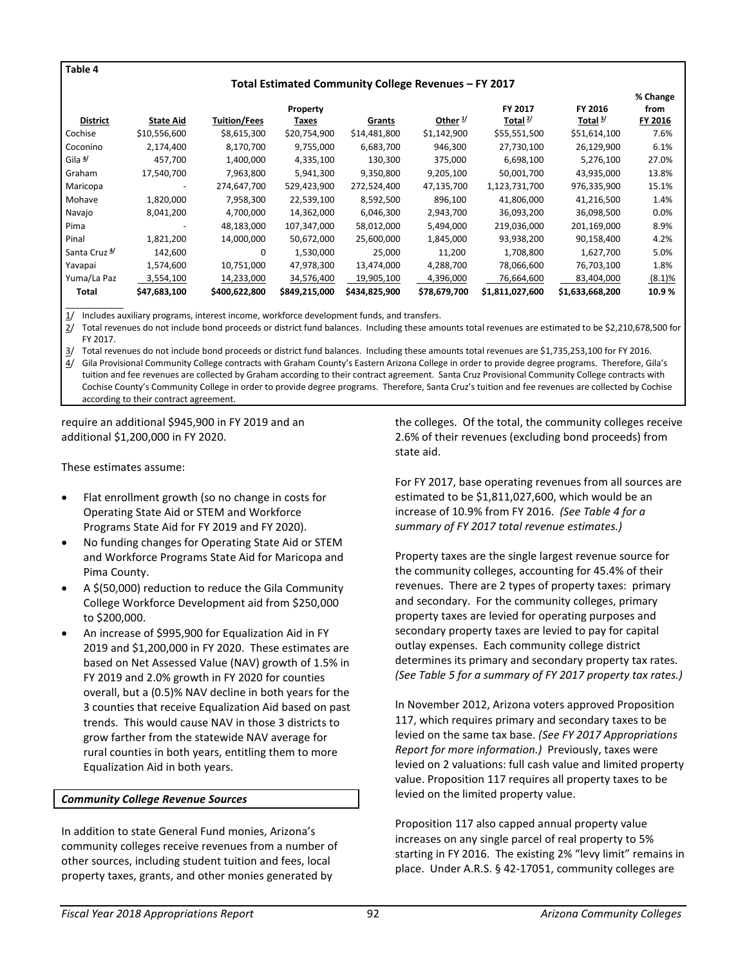#### **Table 4**

#### **Total Estimated Community College Revenues – FY 2017**

|                          |                          |                     |               |               |              |                 |                 | % Change |
|--------------------------|--------------------------|---------------------|---------------|---------------|--------------|-----------------|-----------------|----------|
|                          |                          |                     | Property      |               |              | FY 2017         | FY 2016         | from     |
| <b>District</b>          | <b>State Aid</b>         | <b>Tuition/Fees</b> | Taxes         | Grants        | Other $1/$   | Total $2/$      | Total $3/$      | FY 2016  |
| Cochise                  | \$10,556,600             | \$8,615,300         | \$20,754,900  | \$14,481,800  | \$1,142,900  | \$55,551,500    | \$51,614,100    | 7.6%     |
| Coconino                 | 2,174,400                | 8,170,700           | 9,755,000     | 6,683,700     | 946,300      | 27,730,100      | 26,129,900      | 6.1%     |
| Gila 4                   | 457,700                  | 1,400,000           | 4,335,100     | 130,300       | 375,000      | 6,698,100       | 5,276,100       | 27.0%    |
| Graham                   | 17,540,700               | 7,963,800           | 5,941,300     | 9,350,800     | 9,205,100    | 50,001,700      | 43,935,000      | 13.8%    |
| Maricopa                 | $\overline{\phantom{0}}$ | 274,647,700         | 529,423,900   | 272,524,400   | 47,135,700   | 1,123,731,700   | 976,335,900     | 15.1%    |
| Mohave                   | 1,820,000                | 7,958,300           | 22,539,100    | 8,592,500     | 896,100      | 41,806,000      | 41,216,500      | 1.4%     |
| Navajo                   | 8,041,200                | 4,700,000           | 14,362,000    | 6,046,300     | 2,943,700    | 36,093,200      | 36,098,500      | $0.0\%$  |
| Pima                     |                          | 48,183,000          | 107,347,000   | 58,012,000    | 5,494,000    | 219,036,000     | 201,169,000     | 8.9%     |
| Pinal                    | 1,821,200                | 14,000,000          | 50,672,000    | 25,600,000    | 1,845,000    | 93,938,200      | 90,158,400      | 4.2%     |
| Santa Cruz <sup>4/</sup> | 142,600                  | 0                   | 1,530,000     | 25,000        | 11.200       | 1,708,800       | 1,627,700       | 5.0%     |
| Yavapai                  | 1,574,600                | 10,751,000          | 47,978,300    | 13,474,000    | 4,288,700    | 78,066,600      | 76,703,100      | 1.8%     |
| Yuma/La Paz              | 3.554.100                | 14,233,000          | 34,576,400    | 19,905,100    | 4,396,000    | 76,664,600      | 83,404,000      | (8.1)%   |
| Total                    | \$47,683,100             | \$400,622,800       | \$849,215,000 | \$434,825,900 | \$78,679,700 | \$1,811,027,600 | \$1,633,668,200 | 10.9%    |

 $\mathcal{L}=\mathcal{L}$ 1/ Includes auxiliary programs, interest income, workforce development funds, and transfers.

2/ Total revenues do not include bond proceeds or district fund balances. Including these amounts total revenues are estimated to be \$2,210,678,500 for FY 2017.

3/ Total revenues do not include bond proceeds or district fund balances. Including these amounts total revenues are \$1,735,253,100 for FY 2016. 4/ Gila Provisional Community College contracts with Graham County's Eastern Arizona College in order to provide degree programs. Therefore, Gila's tuition and fee revenues are collected by Graham according to their contract agreement. Santa Cruz Provisional Community College contracts with Cochise County's Community College in order to provide degree programs. Therefore, Santa Cruz's tuition and fee revenues are collected by Cochise according to their contract agreement.

require an additional \$945,900 in FY 2019 and an additional \$1,200,000 in FY 2020.

These estimates assume:

- Flat enrollment growth (so no change in costs for Operating State Aid or STEM and Workforce Programs State Aid for FY 2019 and FY 2020).
- No funding changes for Operating State Aid or STEM and Workforce Programs State Aid for Maricopa and Pima County.
- A \$(50,000) reduction to reduce the Gila Community College Workforce Development aid from \$250,000 to \$200,000.
- An increase of \$995,900 for Equalization Aid in FY 2019 and \$1,200,000 in FY 2020. These estimates are based on Net Assessed Value (NAV) growth of 1.5% in FY 2019 and 2.0% growth in FY 2020 for counties overall, but a (0.5)% NAV decline in both years for the 3 counties that receive Equalization Aid based on past trends. This would cause NAV in those 3 districts to grow farther from the statewide NAV average for rural counties in both years, entitling them to more Equalization Aid in both years.

### *Community College Revenue Sources*

In addition to state General Fund monies, Arizona's community colleges receive revenues from a number of other sources, including student tuition and fees, local property taxes, grants, and other monies generated by

the colleges. Of the total, the community colleges receive 2.6% of their revenues (excluding bond proceeds) from state aid.

For FY 2017, base operating revenues from all sources are estimated to be \$1,811,027,600, which would be an increase of 10.9% from FY 2016. *(See Table 4 for a summary of FY 2017 total revenue estimates.)*

Property taxes are the single largest revenue source for the community colleges, accounting for 45.4% of their revenues. There are 2 types of property taxes: primary and secondary. For the community colleges, primary property taxes are levied for operating purposes and secondary property taxes are levied to pay for capital outlay expenses. Each community college district determines its primary and secondary property tax rates. *(See Table 5 for a summary of FY 2017 property tax rates.)*

In November 2012, Arizona voters approved Proposition 117, which requires primary and secondary taxes to be levied on the same tax base. *(See FY 2017 Appropriations Report for more information.)* Previously, taxes were levied on 2 valuations: full cash value and limited property value. Proposition 117 requires all property taxes to be levied on the limited property value.

Proposition 117 also capped annual property value increases on any single parcel of real property to 5% starting in FY 2016. The existing 2% "levy limit" remains in place. Under A.R.S. § 42-17051, community colleges are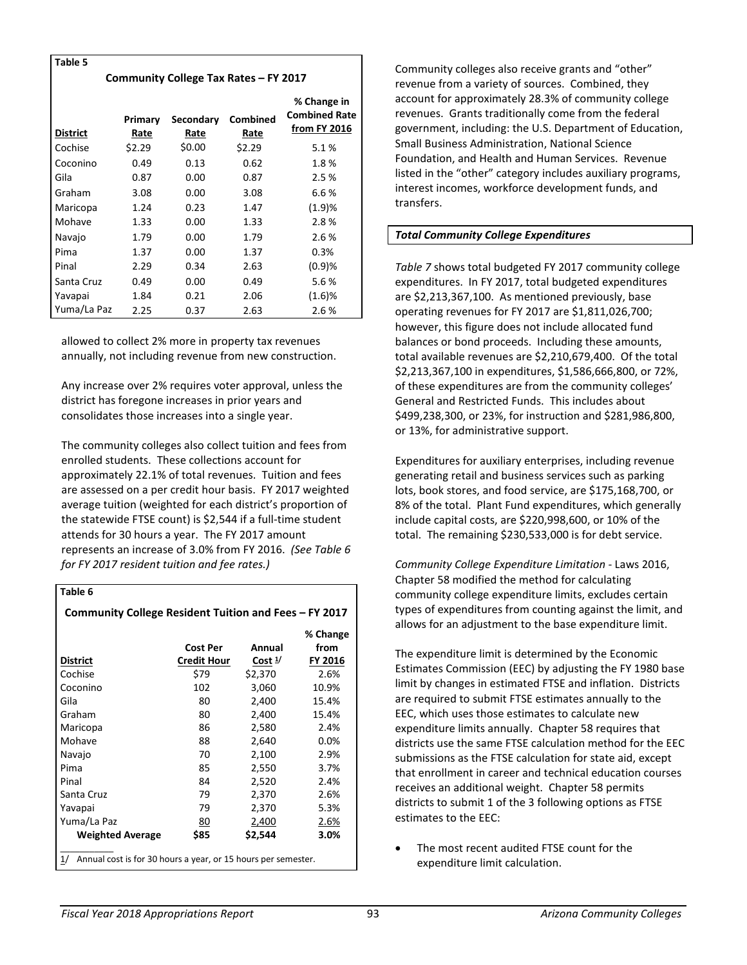| Table 5                               |                 |                   |                         |                                                     |  |  |  |
|---------------------------------------|-----------------|-------------------|-------------------------|-----------------------------------------------------|--|--|--|
| Community College Tax Rates – FY 2017 |                 |                   |                         |                                                     |  |  |  |
| <b>District</b>                       | Primary<br>Rate | Secondary<br>Rate | <b>Combined</b><br>Rate | % Change in<br><b>Combined Rate</b><br>from FY 2016 |  |  |  |
| Cochise                               | \$2.29          | \$0.00            | \$2.29                  | 5.1%                                                |  |  |  |
| Coconino                              | 0.49            | 0.13              | 0.62                    | 1.8%                                                |  |  |  |
| Gila                                  | 0.87            | 0.00              | 0.87                    | 2.5%                                                |  |  |  |
| Graham                                | 3.08            | 0.00              | 3.08                    | 6.6%                                                |  |  |  |
| Maricopa                              | 1.24            | 0.23              | 1.47                    | (1.9)%                                              |  |  |  |
| Mohave                                | 1.33            | 0.00              | 1.33                    | 2.8%                                                |  |  |  |
| Navajo                                | 1.79            | 0.00              | 1.79                    | 2.6%                                                |  |  |  |
| Pima                                  | 1.37            | 0.00              | 1.37                    | 0.3%                                                |  |  |  |
| Pinal                                 | 2.29            | 0.34              | 2.63                    | (0.9)%                                              |  |  |  |
| Santa Cruz                            | 0.49            | 0.00              | 0.49                    | 5.6%                                                |  |  |  |
| Yavapai                               | 1.84            | 0.21              | 2.06                    | (1.6)%                                              |  |  |  |
| Yuma/La Paz                           | 2.25            | 0.37              | 2.63                    | 2.6%                                                |  |  |  |

allowed to collect 2% more in property tax revenues annually, not including revenue from new construction.

Any increase over 2% requires voter approval, unless the district has foregone increases in prior years and consolidates those increases into a single year.

The community colleges also collect tuition and fees from enrolled students. These collections account for approximately 22.1% of total revenues. Tuition and fees are assessed on a per credit hour basis. FY 2017 weighted average tuition (weighted for each district's proportion of the statewide FTSE count) is \$2,544 if a full-time student attends for 30 hours a year. The FY 2017 amount represents an increase of 3.0% from FY 2016. *(See Table 6 for FY 2017 resident tuition and fee rates.)*

# **Table 6**

| Community College Resident Tuition and Fees - FY 2017 |  |
|-------------------------------------------------------|--|
|-------------------------------------------------------|--|

|                                                                     |                    |                   | % Change       |  |  |
|---------------------------------------------------------------------|--------------------|-------------------|----------------|--|--|
|                                                                     | Cost Per           | Annual            | from           |  |  |
| District                                                            | <b>Credit Hour</b> | Cost <sup>1</sup> | <b>FY 2016</b> |  |  |
| Cochise                                                             | \$79               | \$2,370           | 2.6%           |  |  |
| Coconino                                                            | 102                | 3,060             | 10.9%          |  |  |
| Gila                                                                | 80                 | 2,400             | 15.4%          |  |  |
| Graham                                                              | 80                 | 2,400             | 15.4%          |  |  |
| Maricopa                                                            | 86                 | 2,580             | 2.4%           |  |  |
| Mohave                                                              | 88                 | 2,640             | 0.0%           |  |  |
| Navajo                                                              | 70                 | 2,100             | 2.9%           |  |  |
| Pima                                                                | 85                 | 2,550             | 3.7%           |  |  |
| Pinal                                                               | 84                 | 2,520             | 2.4%           |  |  |
| Santa Cruz                                                          | 79                 | 2,370             | 2.6%           |  |  |
| Yavapai                                                             | 79                 | 2,370             | 5.3%           |  |  |
| Yuma/La Paz                                                         | 80                 | 2,400             | 2.6%           |  |  |
| <b>Weighted Average</b>                                             | \$85               | \$2.544           | 3.0%           |  |  |
| Annual cost is for 30 hours a year, or 15 hours per semester.<br>1/ |                    |                   |                |  |  |

Community colleges also receive grants and "other" revenue from a variety of sources. Combined, they account for approximately 28.3% of community college revenues. Grants traditionally come from the federal government, including: the U.S. Department of Education, Small Business Administration, National Science Foundation, and Health and Human Services. Revenue listed in the "other" category includes auxiliary programs, interest incomes, workforce development funds, and transfers.

# *Total Community College Expenditures*

*Table 7* shows total budgeted FY 2017 community college expenditures. In FY 2017, total budgeted expenditures are \$2,213,367,100. As mentioned previously, base operating revenues for FY 2017 are \$1,811,026,700; however, this figure does not include allocated fund balances or bond proceeds. Including these amounts, total available revenues are \$2,210,679,400. Of the total \$2,213,367,100 in expenditures, \$1,586,666,800, or 72%, of these expenditures are from the community colleges' General and Restricted Funds. This includes about \$499,238,300, or 23%, for instruction and \$281,986,800, or 13%, for administrative support.

Expenditures for auxiliary enterprises, including revenue generating retail and business services such as parking lots, book stores, and food service, are \$175,168,700, or 8% of the total. Plant Fund expenditures, which generally include capital costs, are \$220,998,600, or 10% of the total. The remaining \$230,533,000 is for debt service.

*Community College Expenditure Limitation -* Laws 2016, Chapter 58 modified the method for calculating community college expenditure limits, excludes certain types of expenditures from counting against the limit, and allows for an adjustment to the base expenditure limit.

The expenditure limit is determined by the Economic Estimates Commission (EEC) by adjusting the FY 1980 base limit by changes in estimated FTSE and inflation. Districts are required to submit FTSE estimates annually to the EEC, which uses those estimates to calculate new expenditure limits annually. Chapter 58 requires that districts use the same FTSE calculation method for the EEC submissions as the FTSE calculation for state aid, except that enrollment in career and technical education courses receives an additional weight. Chapter 58 permits districts to submit 1 of the 3 following options as FTSE estimates to the EEC:

The most recent audited FTSE count for the expenditure limit calculation.